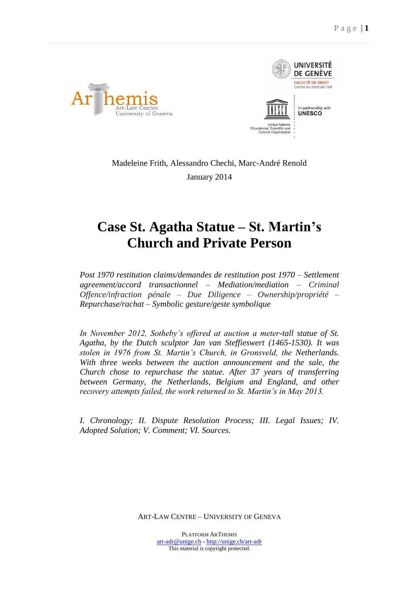



Madeleine Frith, Alessandro Chechi, Marc-André Renold January 2014

# **Case St. Agatha Statue – St. Martin's Church and Private Person**

*Post 1970 restitution claims/demandes de restitution post 1970 – Settlement agreement/accord transactionnel – Mediation/mediation – Criminal Offence/infraction pénale – Due Diligence – Ownership/propriété – Repurchase/rachat – Symbolic gesture/geste symbolique*

*In November 2012, Sotheby's offered at auction a meter-tall statue of St. Agatha, by the Dutch sculptor Jan van Steffieswert (1465-1530). It was stolen in 1976 from St. Martin's Church, in Gronsveld, the Netherlands. With three weeks between the auction announcement and the sale, the Church chose to repurchase the statue. After 37 years of transferring between Germany, the Netherlands, Belgium and England, and other recovery attempts failed, the work returned to St. Martin's in May 2013.*

*I. Chronology; II. Dispute Resolution Process; III. Legal Issues; IV. Adopted Solution; V. Comment; VI. Sources.*

ART-LAW CENTRE – UNIVERSITY OF GENEVA

PLATFORM ARTHEMIS [art-adr@unige.ch](mailto:art-adr@unige.ch) - <http://unige.ch/art-adr> This material is copyright protected.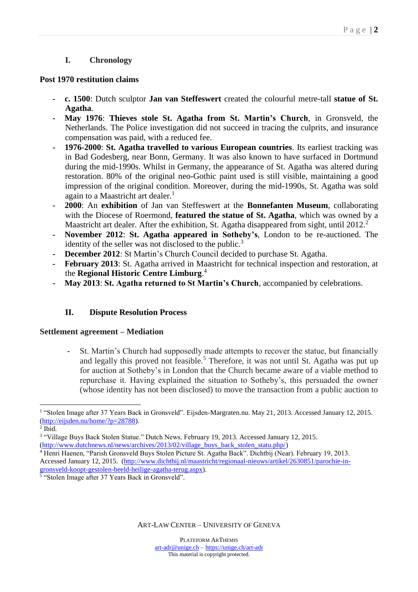# **I. Chronology**

#### **Post 1970 restitution claims**

- **- c. 1500**: Dutch sculptor **Jan van Steffeswert** created the colourful metre-tall **statue of St. Agatha***.*
- **- May 1976**: **Thieves stole St. Agatha from St. Martin's Church**, in Gronsveld, the Netherlands. The Police investigation did not succeed in tracing the culprits, and insurance compensation was paid, with a reduced fee.
- **- 1976-2000**: **St. Agatha travelled to various European countries**. Its earliest tracking was in Bad Godesberg, near Bonn, Germany. It was also known to have surfaced in Dortmund during the mid-1990s. Whilst in Germany, the appearance of St. Agatha was altered during restoration. 80% of the original neo-Gothic paint used is still visible, maintaining a good impression of the original condition. Moreover, during the mid-1990s, St. Agatha was sold again to a Maastricht art dealer.<sup>1</sup>
- **- 2000**: An **exhibition** of Jan van Steffeswert at the **Bonnefanten Museum**, collaborating with the Diocese of Roermond, **featured the statue of St. Agatha**, which was owned by a Maastricht art dealer. After the exhibition, St. Agatha disappeared from sight, until 2012.<sup>2</sup>
- **- November 2012**: **St. Agatha appeared in Sotheby's**, London to be re-auctioned. The identity of the seller was not disclosed to the public.<sup>3</sup>
- **- December 2012**: St Martin's Church Council decided to purchase St. Agatha.
- **- February 2013**: St. Agatha arrived in Maastricht for technical inspection and restoration, at the **Regional Historic Centre Limburg**. 4
- **- May 2013**: **St. Agatha returned to St Martin's Church**, accompanied by celebrations.

# **II. Dispute Resolution Process**

#### **Settlement agreement – Mediation**

**-** St. Martin's Church had supposedly made attempts to recover the statue, but financially and legally this proved not feasible.<sup>5</sup> Therefore, it was not until St. Agatha was put up for auction at Sotheby's in London that the Church became aware of a viable method to repurchase it. Having explained the situation to Sotheby's, this persuaded the owner (whose identity has not been disclosed) to move the transaction from a public auction to

 $\overline{a}$ <sup>1</sup> "Stolen Image after 37 Years Back in Gronsveld". Eijsden-Margraten.nu. May 21, 2013. Accessed January 12, 2015. [\(http://eijsden.nu/home/?p=28788\)](http://eijsden.nu/home/?p=28788).

 $<sup>2</sup>$  Ibid.</sup>

<sup>3</sup> "Village Buys Back Stolen Statue." Dutch News. February 19, 2013. Accessed January 12, 2015.

[<sup>\(</sup>http://www.dutchnews.nl/news/archives/2013/02/village\\_buys\\_back\\_stolen\\_statu.php/\)](http://www.dutchnews.nl/news/archives/2013/02/village_buys_back_stolen_statu.php/)

<sup>4</sup> Henri Haenen, "Parish Gronsveld Buys Stolen Picture St. Agatha Back". Dichtbij (Near). February 19, 2013. Accessed January 12, 2015. [\(http://www.dichtbij.nl/maastricht/regionaal-nieuws/artikel/2630851/parochie-in](http://www.dichtbij.nl/maastricht/regionaal-nieuws/artikel/2630851/parochie-in-gronsveld-koopt-gestolen-beeld-heilige-agatha-terug.aspx)[gronsveld-koopt-gestolen-beeld-heilige-agatha-terug.aspx\)](http://www.dichtbij.nl/maastricht/regionaal-nieuws/artikel/2630851/parochie-in-gronsveld-koopt-gestolen-beeld-heilige-agatha-terug.aspx).

<sup>&</sup>lt;sup>5</sup> "Stolen Image after 37 Years Back in Gronsveld".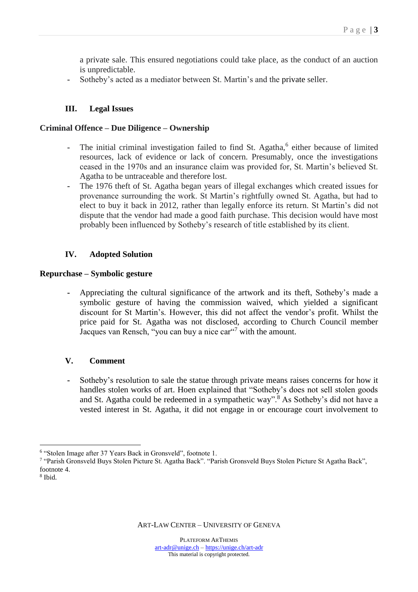a private sale. This ensured negotiations could take place, as the conduct of an auction is unpredictable.

**-** Sotheby's acted as a mediator between St. Martin's and the private seller.

## **III. Legal Issues**

#### **Criminal Offence – Due Diligence – Ownership**

- The initial criminal investigation failed to find St. Agatha,<sup>6</sup> either because of limited resources, lack of evidence or lack of concern. Presumably, once the investigations ceased in the 1970s and an insurance claim was provided for, St. Martin's believed St. Agatha to be untraceable and therefore lost.
- **-** The 1976 theft of St. Agatha began years of illegal exchanges which created issues for provenance surrounding the work. St Martin's rightfully owned St. Agatha, but had to elect to buy it back in 2012, rather than legally enforce its return. St Martin's did not dispute that the vendor had made a good faith purchase. This decision would have most probably been influenced by Sotheby's research of title established by its client.

## **IV. Adopted Solution**

#### **Repurchase – Symbolic gesture**

**-** Appreciating the cultural significance of the artwork and its theft, Sotheby's made a symbolic gesture of having the commission waived, which yielded a significant discount for St Martin's. However, this did not affect the vendor's profit. Whilst the price paid for St. Agatha was not disclosed, according to Church Council member Jacques van Rensch, "you can buy a nice car"<sup>7</sup> with the amount.

#### **V. Comment**

**-** Sotheby's resolution to sale the statue through private means raises concerns for how it handles stolen works of art. Hoen explained that "Sotheby's does not sell stolen goods and St. Agatha could be redeemed in a sympathetic way".<sup>8</sup> As Sotheby's did not have a vested interest in St. Agatha, it did not engage in or encourage court involvement to

 $\overline{a}$ 

<sup>6</sup> "Stolen Image after 37 Years Back in Gronsveld", footnote 1.

<sup>7</sup> "Parish Gronsveld Buys Stolen Picture St. Agatha Back". "Parish Gronsveld Buys Stolen Picture St Agatha Back", footnote 4.

<sup>8</sup> Ibid.